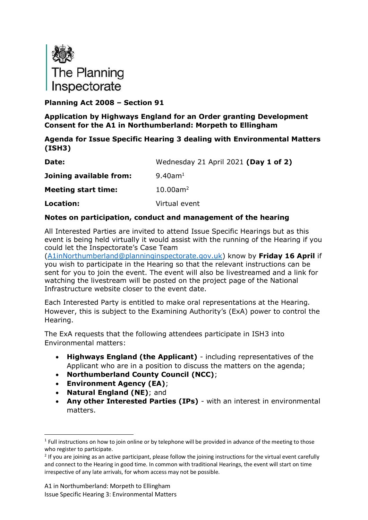

**Planning Act 2008 – Section 91**

**Application by Highways England for an Order granting Development Consent for the A1 in Northumberland: Morpeth to Ellingham**

#### **Agenda for Issue Specific Hearing 3 dealing with Environmental Matters (ISH3)**

| Date:                      | Wednesday 21 April 2021 (Day 1 of 2) |
|----------------------------|--------------------------------------|
| Joining available from:    | $9.40$ am <sup>1</sup>               |
| <b>Meeting start time:</b> | $10.00$ am <sup>2</sup>              |
| Location:                  | Virtual event                        |

#### **Notes on participation, conduct and management of the hearing**

All Interested Parties are invited to attend Issue Specific Hearings but as this event is being held virtually it would assist with the running of the Hearing if you could let the Inspectorate's Case Team

[\(A1inNorthumberland@planninginspectorate.gov.uk\)](mailto:A1inNorthumberland@planninginspectorate.gov.uk) know by **Friday 16 April** if you wish to participate in the Hearing so that the relevant instructions can be sent for you to join the event. The event will also be livestreamed and a link for watching the livestream will be posted on the project page of the National Infrastructure website closer to the event date.

Each Interested Party is entitled to make oral representations at the Hearing. However, this is subject to the Examining Authority's (ExA) power to control the Hearing.

The ExA requests that the following attendees participate in ISH3 into Environmental matters:

- **Highways England (the Applicant)** including representatives of the Applicant who are in a position to discuss the matters on the agenda;
- **Northumberland County Council (NCC)**;
- **Environment Agency (EA)**;
- **Natural England (NE)**; and
- **Any other Interested Parties (IPs)** with an interest in environmental matters.

 $1$  Full instructions on how to join online or by telephone will be provided in advance of the meeting to those who register to participate.

<sup>&</sup>lt;sup>2</sup> If you are joining as an active participant, please follow the joining instructions for the virtual event carefully and connect to the Hearing in good time. In common with traditional Hearings, the event will start on time irrespective of any late arrivals, for whom access may not be possible.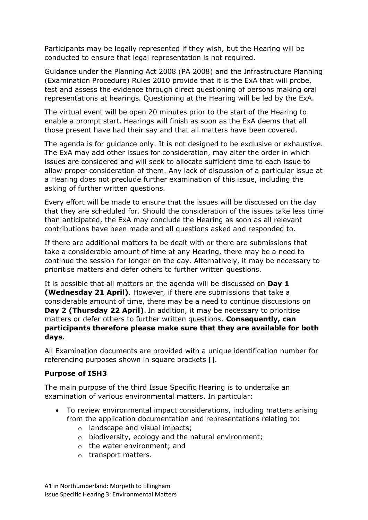Participants may be legally represented if they wish, but the Hearing will be conducted to ensure that legal representation is not required.

Guidance under the Planning Act 2008 (PA 2008) and the Infrastructure Planning (Examination Procedure) Rules 2010 provide that it is the ExA that will probe, test and assess the evidence through direct questioning of persons making oral representations at hearings. Questioning at the Hearing will be led by the ExA.

The virtual event will be open 20 minutes prior to the start of the Hearing to enable a prompt start. Hearings will finish as soon as the ExA deems that all those present have had their say and that all matters have been covered.

The agenda is for guidance only. It is not designed to be exclusive or exhaustive. The ExA may add other issues for consideration, may alter the order in which issues are considered and will seek to allocate sufficient time to each issue to allow proper consideration of them. Any lack of discussion of a particular issue at a Hearing does not preclude further examination of this issue, including the asking of further written questions.

Every effort will be made to ensure that the issues will be discussed on the day that they are scheduled for. Should the consideration of the issues take less time than anticipated, the ExA may conclude the Hearing as soon as all relevant contributions have been made and all questions asked and responded to.

If there are additional matters to be dealt with or there are submissions that take a considerable amount of time at any Hearing, there may be a need to continue the session for longer on the day. Alternatively, it may be necessary to prioritise matters and defer others to further written questions.

It is possible that all matters on the agenda will be discussed on **Day 1 (Wednesday 21 April)**. However, if there are submissions that take a considerable amount of time, there may be a need to continue discussions on **Day 2 (Thursday 22 April)**. In addition, it may be necessary to prioritise matters or defer others to further written questions. **Consequently, can participants therefore please make sure that they are available for both days.**

All Examination documents are provided with a unique identification number for referencing purposes shown in square brackets [].

### **Purpose of ISH3**

The main purpose of the third Issue Specific Hearing is to undertake an examination of various environmental matters. In particular:

- To review environmental impact considerations, including matters arising from the application documentation and representations relating to:
	- o landscape and visual impacts;
	- o biodiversity, ecology and the natural environment;
	- o the water environment; and
	- o transport matters.

A1 in Northumberland: Morpeth to Ellingham Issue Specific Hearing 3: Environmental Matters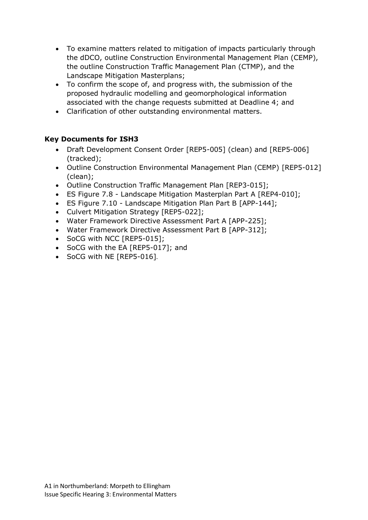- To examine matters related to mitigation of impacts particularly through the dDCO, outline Construction Environmental Management Plan (CEMP), the outline Construction Traffic Management Plan (CTMP), and the Landscape Mitigation Masterplans;
- To confirm the scope of, and progress with, the submission of the proposed hydraulic modelling and geomorphological information associated with the change requests submitted at Deadline 4; and
- Clarification of other outstanding environmental matters.

### **Key Documents for ISH3**

- Draft Development Consent Order [REP5-005] (clean) and [REP5-006] (tracked);
- Outline Construction Environmental Management Plan (CEMP) [REP5-012] (clean);
- Outline Construction Traffic Management Plan [REP3-015];
- ES Figure 7.8 Landscape Mitigation Masterplan Part A [REP4-010];
- ES Figure 7.10 Landscape Mitigation Plan Part B [APP-144];
- Culvert Mitigation Strategy [REP5-022];
- Water Framework Directive Assessment Part A [APP-225];
- Water Framework Directive Assessment Part B [APP-312];
- SoCG with NCC [REP5-015];
- SoCG with the EA [REP5-017]; and
- SoCG with NE [REP5-016].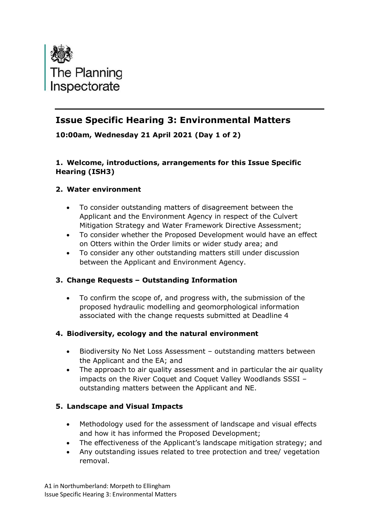

# **Issue Specific Hearing 3: Environmental Matters**

**10:00am, Wednesday 21 April 2021 (Day 1 of 2)**

## **1. Welcome, introductions, arrangements for this Issue Specific Hearing (ISH3)**

## **2. Water environment**

- To consider outstanding matters of disagreement between the Applicant and the Environment Agency in respect of the Culvert Mitigation Strategy and Water Framework Directive Assessment;
- To consider whether the Proposed Development would have an effect on Otters within the Order limits or wider study area; and
- To consider any other outstanding matters still under discussion between the Applicant and Environment Agency.

## **3. Change Requests – Outstanding Information**

• To confirm the scope of, and progress with, the submission of the proposed hydraulic modelling and geomorphological information associated with the change requests submitted at Deadline 4

### **4. Biodiversity, ecology and the natural environment**

- Biodiversity No Net Loss Assessment outstanding matters between the Applicant and the EA; and
- The approach to air quality assessment and in particular the air quality impacts on the River Coquet and Coquet Valley Woodlands SSSI – outstanding matters between the Applicant and NE.

## **5. Landscape and Visual Impacts**

- Methodology used for the assessment of landscape and visual effects and how it has informed the Proposed Development;
- The effectiveness of the Applicant's landscape mitigation strategy; and
- Any outstanding issues related to tree protection and tree/ vegetation removal.

A1 in Northumberland: Morpeth to Ellingham Issue Specific Hearing 3: Environmental Matters